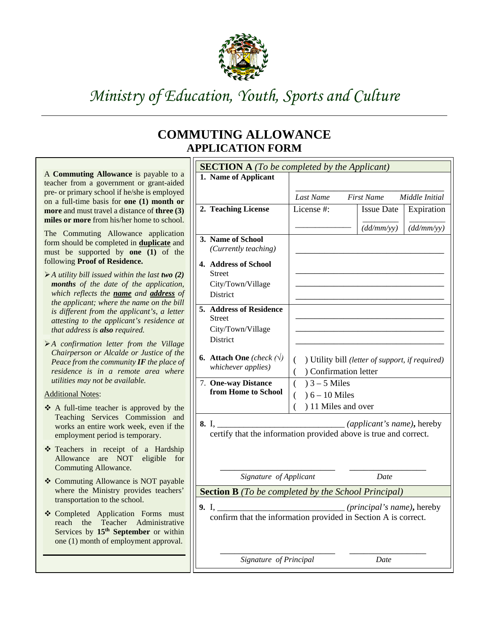

## *Ministry of Education, Youth, Sports and Culture*

## **COMMUTING ALLOWANCE APPLICATION FORM**

|                                                                                                     | <b>SECTION A</b> (To be completed by the Applicant)            |                                                                  |                   |            |  |  |
|-----------------------------------------------------------------------------------------------------|----------------------------------------------------------------|------------------------------------------------------------------|-------------------|------------|--|--|
| A Commuting Allowance is payable to a                                                               | 1. Name of Applicant                                           |                                                                  |                   |            |  |  |
| teacher from a government or grant-aided<br>pre- or primary school if he/she is employed            |                                                                |                                                                  |                   |            |  |  |
| on a full-time basis for one (1) month or                                                           |                                                                | Last Name<br><b>First Name</b><br>Middle Initial                 |                   |            |  |  |
| more and must travel a distance of three (3)                                                        | 2. Teaching License                                            | License #:                                                       | <b>Issue Date</b> | Expiration |  |  |
| miles or more from his/her home to school.                                                          |                                                                |                                                                  |                   |            |  |  |
|                                                                                                     |                                                                |                                                                  | (dd/mm/yy)        | (dd/mm/yy) |  |  |
| The Commuting Allowance application<br>form should be completed in <b>duplicate</b> and             | 3. Name of School                                              |                                                                  |                   |            |  |  |
| must be supported by <b>one</b> (1) of the                                                          | (Currently teaching)                                           |                                                                  |                   |            |  |  |
| following Proof of Residence.                                                                       |                                                                |                                                                  |                   |            |  |  |
|                                                                                                     | 4. Address of School                                           |                                                                  |                   |            |  |  |
| $\triangleright$ A utility bill issued within the last two (2)                                      | <b>Street</b>                                                  |                                                                  |                   |            |  |  |
| months of the date of the application,                                                              | City/Town/Village                                              |                                                                  |                   |            |  |  |
| which reflects the name and address of<br>the applicant; where the name on the bill                 | <b>District</b>                                                |                                                                  |                   |            |  |  |
| is different from the applicant's, a letter                                                         | 5. Address of Residence                                        |                                                                  |                   |            |  |  |
| attesting to the applicant's residence at                                                           | <b>Street</b>                                                  |                                                                  |                   |            |  |  |
| that address is also required.                                                                      | City/Town/Village                                              |                                                                  |                   |            |  |  |
|                                                                                                     | <b>District</b>                                                |                                                                  |                   |            |  |  |
| $\triangleright$ A confirmation letter from the Village<br>Chairperson or Alcalde or Justice of the |                                                                |                                                                  |                   |            |  |  |
| Peace from the community $IF$ the place of                                                          | <b>6.</b> Attach One (check $(\sqrt{x})$                       | ) Utility bill (letter of support, if required)<br>€             |                   |            |  |  |
| residence is in a remote area where                                                                 | whichever applies)                                             | Confirmation letter<br>$\overline{(\ }$                          |                   |            |  |  |
| utilities may not be available.                                                                     | 7. One-way Distance                                            | $3 - 5$ Miles<br>$\overline{(\ }$                                |                   |            |  |  |
| <b>Additional Notes:</b>                                                                            | from Home to School                                            |                                                                  |                   |            |  |  |
|                                                                                                     |                                                                | $6 - 10$ Miles                                                   |                   |            |  |  |
| ❖ A full-time teacher is approved by the                                                            |                                                                | ) 11 Miles and over<br>$\left($                                  |                   |            |  |  |
| Teaching Services Commission and<br>works an entire work week, even if the                          |                                                                | certify that the information provided above is true and correct. |                   |            |  |  |
| employment period is temporary.                                                                     |                                                                |                                                                  |                   |            |  |  |
|                                                                                                     |                                                                |                                                                  |                   |            |  |  |
| * Teachers in receipt of a Hardship                                                                 |                                                                |                                                                  |                   |            |  |  |
| Allowance are NOT eligible for                                                                      |                                                                |                                                                  |                   |            |  |  |
| <b>Commuting Allowance.</b>                                                                         | Signature of Applicant<br>Date                                 |                                                                  |                   |            |  |  |
| ❖ Commuting Allowance is NOT payable                                                                |                                                                |                                                                  |                   |            |  |  |
| where the Ministry provides teachers'                                                               | <b>Section B</b> (To be completed by the School Principal)     |                                                                  |                   |            |  |  |
| transportation to the school.                                                                       |                                                                |                                                                  |                   |            |  |  |
| ❖ Completed Application Forms must                                                                  | confirm that the information provided in Section A is correct. |                                                                  |                   |            |  |  |
| Administrative<br>reach the Teacher                                                                 |                                                                |                                                                  |                   |            |  |  |
| Services by 15 <sup>th</sup> September or within                                                    |                                                                |                                                                  |                   |            |  |  |
| one (1) month of employment approval.                                                               |                                                                |                                                                  |                   |            |  |  |
|                                                                                                     | Signature of Principal<br>Date                                 |                                                                  |                   |            |  |  |
|                                                                                                     |                                                                |                                                                  |                   |            |  |  |